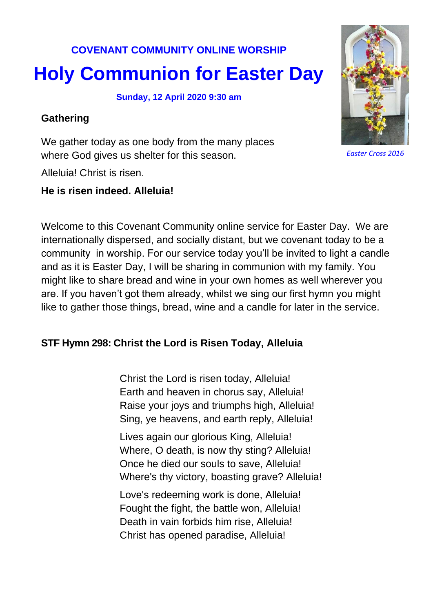# **COVENANT COMMUNITY ONLINE WORSHIP Holy Communion for Easter Day**

#### **Sunday, 12 April 2020 9:30 am**

#### **Gathering**

We gather today as one body from the many places where God gives us shelter for this season.

Alleluia! Christ is risen.

#### **He is risen indeed. Alleluia!**



*Easter Cross 2016*

Welcome to this Covenant Community online service for Easter Day. We are internationally dispersed, and socially distant, but we covenant today to be a community in worship. For our service today you'll be invited to light a candle and as it is Easter Day, I will be sharing in communion with my family. You might like to share bread and wine in your own homes as well wherever you are. If you haven't got them already, whilst we sing our first hymn you might like to gather those things, bread, wine and a candle for later in the service.

## **STF Hymn 298: Christ the Lord is Risen Today, Alleluia**

Christ the Lord is risen today, Alleluia! Earth and heaven in chorus say, Alleluia! Raise your joys and triumphs high, Alleluia! Sing, ye heavens, and earth reply, Alleluia!

Lives again our glorious King, Alleluia! Where, O death, is now thy sting? Alleluia! Once he died our souls to save, Alleluia! Where's thy victory, boasting grave? Alleluia!

Love's redeeming work is done, Alleluia! Fought the fight, the battle won, Alleluia! Death in vain forbids him rise, Alleluia! Christ has opened paradise, Alleluia!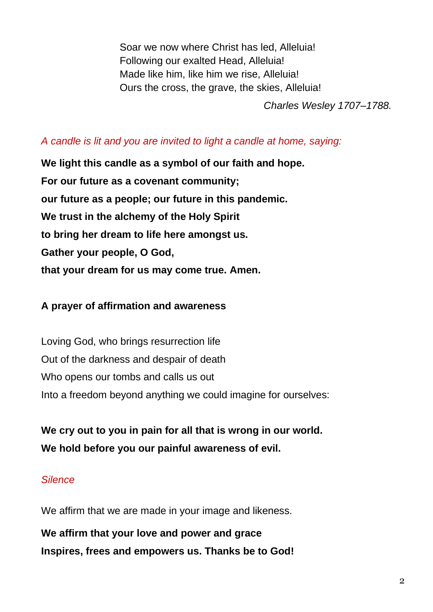Soar we now where Christ has led, Alleluia! Following our exalted Head, Alleluia! Made like him, like him we rise, Alleluia! Ours the cross, the grave, the skies, Alleluia!

*Charles Wesley 1707–1788.*

#### *A candle is lit and you are invited to light a candle at home, saying:*

**We light this candle as a symbol of our faith and hope. For our future as a covenant community; our future as a people; our future in this pandemic. We trust in the alchemy of the Holy Spirit to bring her dream to life here amongst us. Gather your people, O God, that your dream for us may come true. Amen.**

#### **A prayer of affirmation and awareness**

Loving God, who brings resurrection life Out of the darkness and despair of death Who opens our tombs and calls us out Into a freedom beyond anything we could imagine for ourselves:

**We cry out to you in pain for all that is wrong in our world. We hold before you our painful awareness of evil.**

#### *Silence*

We affirm that we are made in your image and likeness.

**We affirm that your love and power and grace Inspires, frees and empowers us. Thanks be to God!**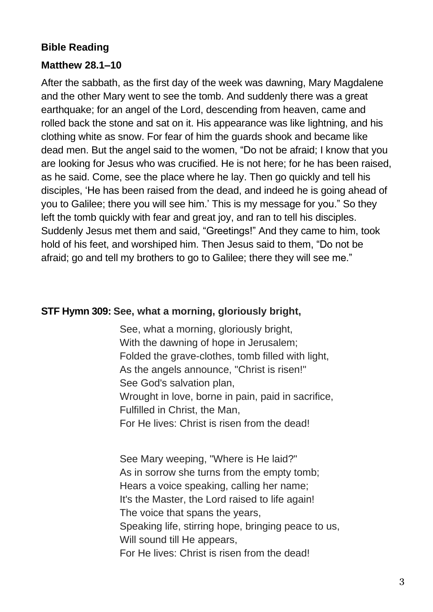## **Bible Reading**

#### **Matthew 28.1–10**

After the sabbath, as the first day of the week was dawning, Mary Magdalene and the other Mary went to see the tomb. And suddenly there was a great earthquake; for an angel of the Lord, descending from heaven, came and rolled back the stone and sat on it. His appearance was like lightning, and his clothing white as snow. For fear of him the guards shook and became like dead men. But the angel said to the women, "Do not be afraid; I know that you are looking for Jesus who was crucified. He is not here; for he has been raised, as he said. Come, see the place where he lay. Then go quickly and tell his disciples, 'He has been raised from the dead, and indeed he is going ahead of you to Galilee; there you will see him.' This is my message for you." So they left the tomb quickly with fear and great joy, and ran to tell his disciples. Suddenly Jesus met them and said, "Greetings!" And they came to him, took hold of his feet, and worshiped him. Then Jesus said to them, "Do not be afraid; go and tell my brothers to go to Galilee; there they will see me."

#### **STF Hymn 309: See, what a morning, gloriously bright,**

See, what a morning, gloriously bright, With the dawning of hope in Jerusalem; Folded the grave-clothes, tomb filled with light, As the angels announce. "Christ is risen!" See God's salvation plan, Wrought in love, borne in pain, paid in sacrifice, Fulfilled in Christ, the Man, For He lives: Christ is risen from the dead!

See Mary weeping, "Where is He laid?" As in sorrow she turns from the empty tomb; Hears a voice speaking, calling her name; It's the Master, the Lord raised to life again! The voice that spans the years, Speaking life, stirring hope, bringing peace to us, Will sound till He appears, For He lives: Christ is risen from the dead!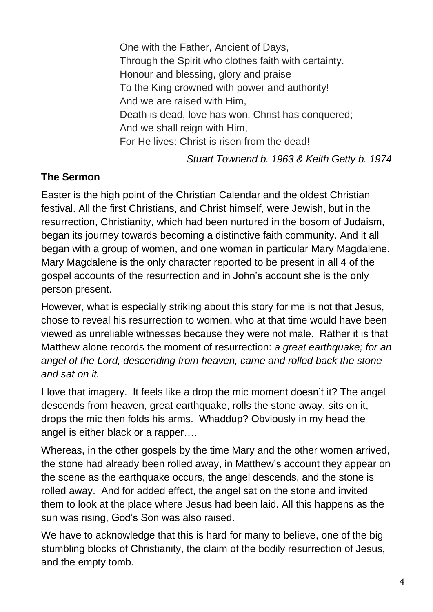One with the Father, Ancient of Days, Through the Spirit who clothes faith with certainty. Honour and blessing, glory and praise To the King crowned with power and authority! And we are raised with Him, Death is dead, love has won, Christ has conquered; And we shall reign with Him, For He lives: Christ is risen from the dead!

*Stuart Townend b. 1963 & Keith Getty b. 1974*

## **The Sermon**

Easter is the high point of the Christian Calendar and the oldest Christian festival. All the first Christians, and Christ himself, were Jewish, but in the resurrection, Christianity, which had been nurtured in the bosom of Judaism, began its journey towards becoming a distinctive faith community. And it all began with a group of women, and one woman in particular Mary Magdalene. Mary Magdalene is the only character reported to be present in all 4 of the gospel accounts of the resurrection and in John's account she is the only person present.

However, what is especially striking about this story for me is not that Jesus, chose to reveal his resurrection to women, who at that time would have been viewed as unreliable witnesses because they were not male. Rather it is that Matthew alone records the moment of resurrection: *a great earthquake; for an angel of the Lord, descending from heaven, came and rolled back the stone and sat on it.*

I love that imagery. It feels like a drop the mic moment doesn't it? The angel descends from heaven, great earthquake, rolls the stone away, sits on it, drops the mic then folds his arms. Whaddup? Obviously in my head the angel is either black or a rapper….

Whereas, in the other gospels by the time Mary and the other women arrived, the stone had already been rolled away, in Matthew's account they appear on the scene as the earthquake occurs, the angel descends, and the stone is rolled away. And for added effect, the angel sat on the stone and invited them to look at the place where Jesus had been laid. All this happens as the sun was rising, God's Son was also raised.

We have to acknowledge that this is hard for many to believe, one of the big stumbling blocks of Christianity, the claim of the bodily resurrection of Jesus, and the empty tomb.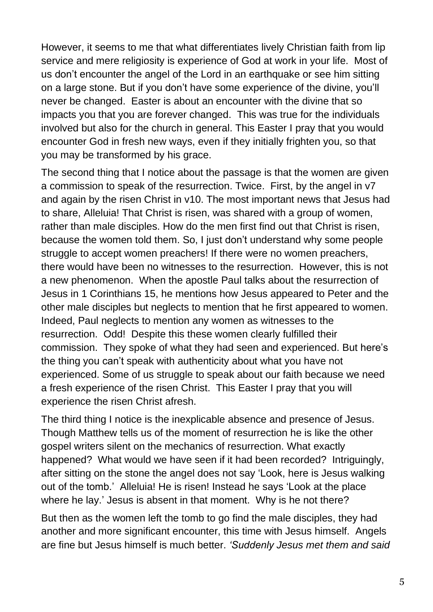However, it seems to me that what differentiates lively Christian faith from lip service and mere religiosity is experience of God at work in your life. Most of us don't encounter the angel of the Lord in an earthquake or see him sitting on a large stone. But if you don't have some experience of the divine, you'll never be changed. Easter is about an encounter with the divine that so impacts you that you are forever changed. This was true for the individuals involved but also for the church in general. This Easter I pray that you would encounter God in fresh new ways, even if they initially frighten you, so that you may be transformed by his grace.

The second thing that I notice about the passage is that the women are given a commission to speak of the resurrection. Twice. First, by the angel in v7 and again by the risen Christ in v10. The most important news that Jesus had to share, Alleluia! That Christ is risen, was shared with a group of women, rather than male disciples. How do the men first find out that Christ is risen, because the women told them. So, I just don't understand why some people struggle to accept women preachers! If there were no women preachers, there would have been no witnesses to the resurrection. However, this is not a new phenomenon. When the apostle Paul talks about the resurrection of Jesus in 1 Corinthians 15, he mentions how Jesus appeared to Peter and the other male disciples but neglects to mention that he first appeared to women. Indeed, Paul neglects to mention any women as witnesses to the resurrection. Odd! Despite this these women clearly fulfilled their commission. They spoke of what they had seen and experienced. But here's the thing you can't speak with authenticity about what you have not experienced. Some of us struggle to speak about our faith because we need a fresh experience of the risen Christ. This Easter I pray that you will experience the risen Christ afresh.

The third thing I notice is the inexplicable absence and presence of Jesus. Though Matthew tells us of the moment of resurrection he is like the other gospel writers silent on the mechanics of resurrection. What exactly happened? What would we have seen if it had been recorded? Intriguingly, after sitting on the stone the angel does not say 'Look, here is Jesus walking out of the tomb.' Alleluia! He is risen! Instead he says 'Look at the place where he lay.' Jesus is absent in that moment. Why is he not there?

But then as the women left the tomb to go find the male disciples, they had another and more significant encounter, this time with Jesus himself. Angels are fine but Jesus himself is much better. *'Suddenly Jesus met them and said*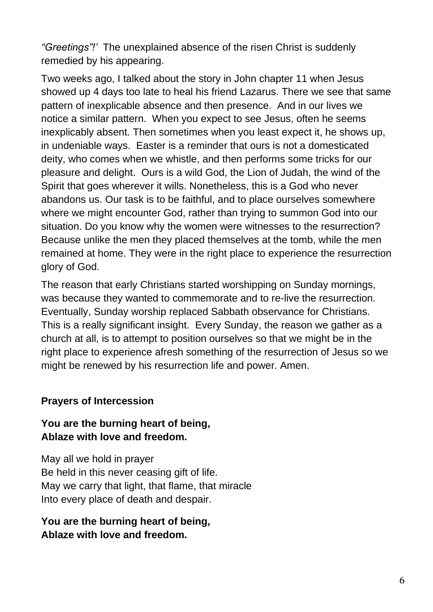*"Greetings"!'* The unexplained absence of the risen Christ is suddenly remedied by his appearing.

Two weeks ago, I talked about the story in John chapter 11 when Jesus showed up 4 days too late to heal his friend Lazarus. There we see that same pattern of inexplicable absence and then presence. And in our lives we notice a similar pattern. When you expect to see Jesus, often he seems inexplicably absent. Then sometimes when you least expect it, he shows up, in undeniable ways. Easter is a reminder that ours is not a domesticated deity, who comes when we whistle, and then performs some tricks for our pleasure and delight. Ours is a wild God, the Lion of Judah, the wind of the Spirit that goes wherever it wills. Nonetheless, this is a God who never abandons us. Our task is to be faithful, and to place ourselves somewhere where we might encounter God, rather than trying to summon God into our situation. Do you know why the women were witnesses to the resurrection? Because unlike the men they placed themselves at the tomb, while the men remained at home. They were in the right place to experience the resurrection glory of God.

The reason that early Christians started worshipping on Sunday mornings, was because they wanted to commemorate and to re-live the resurrection. Eventually, Sunday worship replaced Sabbath observance for Christians. This is a really significant insight. Every Sunday, the reason we gather as a church at all, is to attempt to position ourselves so that we might be in the right place to experience afresh something of the resurrection of Jesus so we might be renewed by his resurrection life and power. Amen.

## **Prayers of Intercession**

## **You are the burning heart of being, Ablaze with love and freedom.**

May all we hold in prayer Be held in this never ceasing gift of life. May we carry that light, that flame, that miracle Into every place of death and despair.

## **You are the burning heart of being, Ablaze with love and freedom.**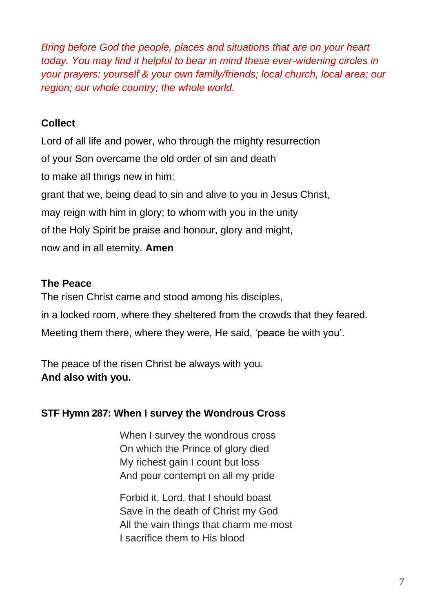*Bring before God the people, places and situations that are on your heart today. You may find it helpful to bear in mind these ever-widening circles in your prayers: yourself & your own family/friends; local church, local area; our region; our whole country; the whole world.*

#### **Collect**

Lord of all life and power, who through the mighty resurrection of your Son overcame the old order of sin and death to make all things new in him: grant that we, being dead to sin and alive to you in Jesus Christ, may reign with him in glory; to whom with you in the unity of the Holy Spirit be praise and honour, glory and might, now and in all eternity. **Amen**

## **The Peace**

The risen Christ came and stood among his disciples, in a locked room, where they sheltered from the crowds that they feared. Meeting them there, where they were, He said, 'peace be with you'.

The peace of the risen Christ be always with you. **And also with you.**

## **STF Hymn 287: When I survey the Wondrous Cross**

When I survey the wondrous cross On which the Prince of glory died My richest gain I count but loss And pour contempt on all my pride

Forbid it, Lord, that I should boast Save in the death of Christ my God All the vain things that charm me most I sacrifice them to His blood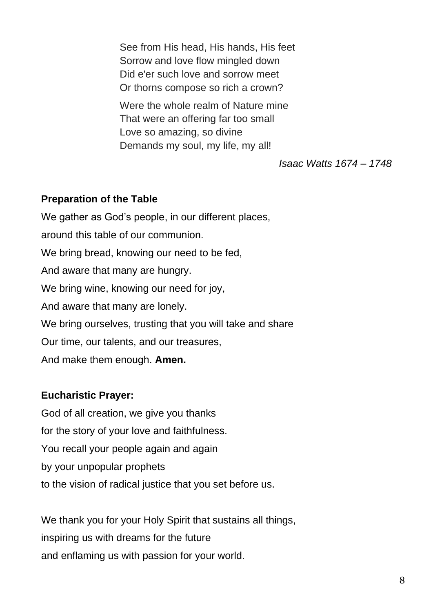See from His head, His hands, His feet Sorrow and love flow mingled down Did e'er such love and sorrow meet Or thorns compose so rich a crown?

Were the whole realm of Nature mine That were an offering far too small Love so amazing, so divine Demands my soul, my life, my all!

*Isaac Watts 1674 – 1748*

#### **Preparation of the Table**

We gather as God's people, in our different places, around this table of our communion. We bring bread, knowing our need to be fed, And aware that many are hungry. We bring wine, knowing our need for joy, And aware that many are lonely. We bring ourselves, trusting that you will take and share Our time, our talents, and our treasures, And make them enough. **Amen.**

#### **Eucharistic Prayer:**

God of all creation, we give you thanks for the story of your love and faithfulness. You recall your people again and again by your unpopular prophets to the vision of radical justice that you set before us.

We thank you for your Holy Spirit that sustains all things, inspiring us with dreams for the future and enflaming us with passion for your world.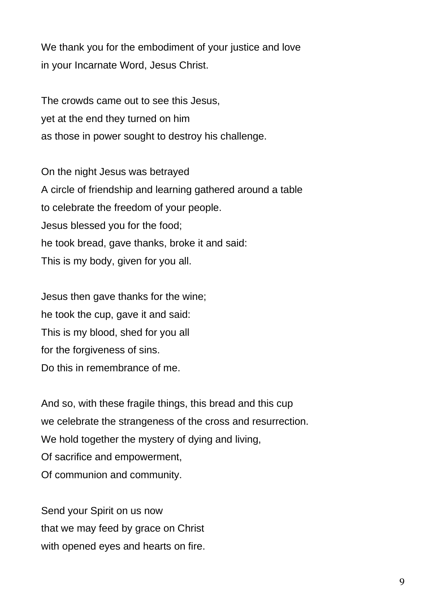We thank you for the embodiment of your justice and love in your Incarnate Word, Jesus Christ.

The crowds came out to see this Jesus, yet at the end they turned on him as those in power sought to destroy his challenge.

On the night Jesus was betrayed A circle of friendship and learning gathered around a table to celebrate the freedom of your people. Jesus blessed you for the food; he took bread, gave thanks, broke it and said: This is my body, given for you all.

Jesus then gave thanks for the wine; he took the cup, gave it and said: This is my blood, shed for you all for the forgiveness of sins. Do this in remembrance of me.

And so, with these fragile things, this bread and this cup we celebrate the strangeness of the cross and resurrection. We hold together the mystery of dying and living, Of sacrifice and empowerment, Of communion and community.

Send your Spirit on us now that we may feed by grace on Christ with opened eyes and hearts on fire.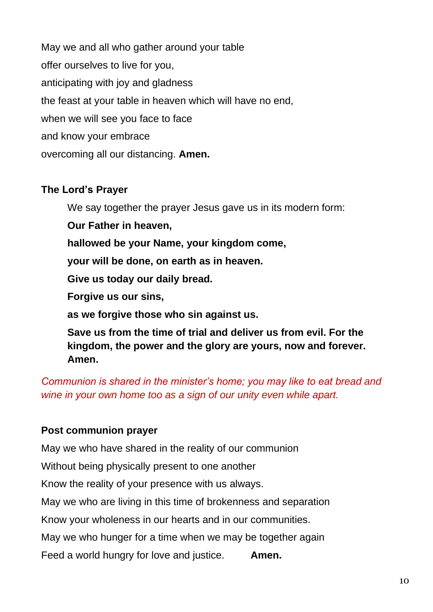May we and all who gather around your table offer ourselves to live for you, anticipating with joy and gladness the feast at your table in heaven which will have no end, when we will see you face to face and know your embrace overcoming all our distancing. **Amen.**

## **The Lord's Prayer**

We say together the prayer Jesus gave us in its modern form:

**Our Father in heaven,** 

**hallowed be your Name, your kingdom come,**

**your will be done, on earth as in heaven.**

**Give us today our daily bread.**

**Forgive us our sins,**

**as we forgive those who sin against us.**

**Save us from the time of trial and deliver us from evil. For the kingdom, the power and the glory are yours, now and forever. Amen.**

*Communion is shared in the minister's home; you may like to eat bread and wine in your own home too as a sign of our unity even while apart.*

## **Post communion prayer**

May we who have shared in the reality of our communion

Without being physically present to one another

Know the reality of your presence with us always.

May we who are living in this time of brokenness and separation

Know your wholeness in our hearts and in our communities.

May we who hunger for a time when we may be together again

Feed a world hungry for love and justice. **Amen.**